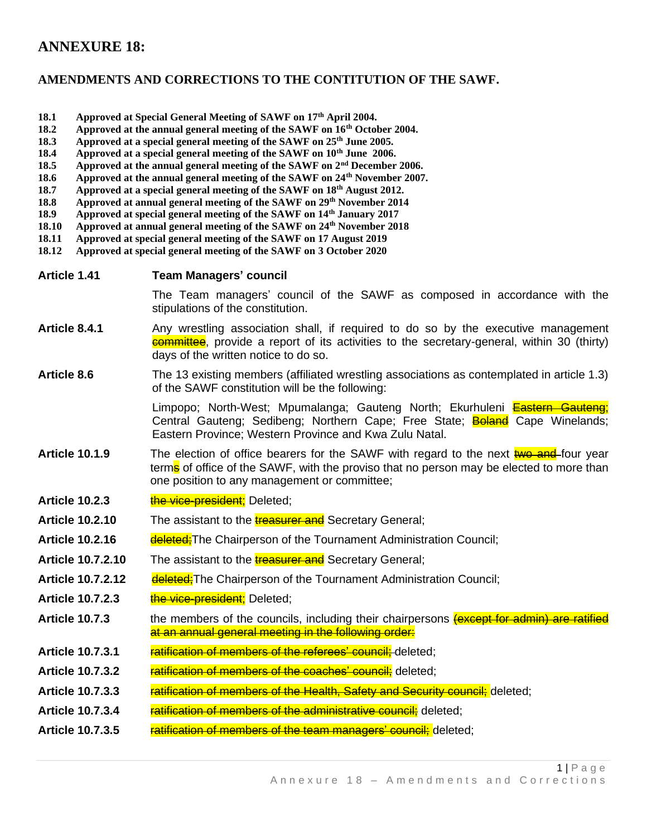## **ANNEXURE 18:**

## **AMENDMENTS AND CORRECTIONS TO THE CONTITUTION OF THE SAWF.**

- **18.1 Approved at Special General Meeting of SAWF on 17th April 2004.**
- **18.2 Approved at the annual general meeting of the SAWF on 16th October 2004.**
- **18.3 Approved at a special general meeting of the SAWF on 25th June 2005.**
- **18.4 Approved at a special general meeting of the SAWF on 10th June 2006.**
- **18.5 Approved at the annual general meeting of the SAWF on 2nd December 2006.**
- **18.6 Approved at the annual general meeting of the SAWF on 24th November 2007.**
- **18.7 Approved at a special general meeting of the SAWF on 18th August 2012.**
- **18.8 Approved at annual general meeting of the SAWF on 29th November 2014**
- **18.9 Approved at special general meeting of the SAWF on 14th January 2017**
- **18.10 Approved at annual general meeting of the SAWF on 24th November 2018**
- **18.11 Approved at special general meeting of the SAWF on 17 August 2019**
- **18.12 Approved at special general meeting of the SAWF on 3 October 2020**

| Article 1.41 | <b>Team Managers' council</b> |  |
|--------------|-------------------------------|--|
|--------------|-------------------------------|--|

The Team managers' council of the SAWF as composed in accordance with the stipulations of the constitution.

Article 8.4.1 Any wrestling association shall, if required to do so by the executive management **committee**, provide a report of its activities to the secretary-general, within 30 (thirty) days of the written notice to do so.

## **Article 8.6** The 13 existing members (affiliated wrestling associations as contemplated in article 1.3) of the SAWF constitution will be the following:

Limpopo; North-West; Mpumalanga; Gauteng North; Ekurhuleni Eastern Gauteng; Central Gauteng; Sedibeng; Northern Cape; Free State; Boland Cape Winelands; Eastern Province; Western Province and Kwa Zulu Natal.

- Article 10.1.9 The election of office bearers for the SAWF with regard to the next **two and** four year term<mark>s</mark> of office of the SAWF, with the proviso that no person may be elected to more than one position to any management or committee;
- Article 10.2.3 the vice-president: Deleted:
- **Article 10.2.10** The assistant to the **treasurer and** Secretary General;
- Article 10.2.16 **deleted:**The Chairperson of the Tournament Administration Council;
- Article 10.7.2.10 The assistant to the **treasurer and** Secretary General:
- **Article 10.7.2.12 deleted;**The Chairperson of the Tournament Administration Council;
- **Article 10.7.2.3** the vice-president; Deleted;
- **Article 10.7.3** the members of the councils, including their chairpersons (except for admin) are ratified at an annual general meeting in the following order:
- **Article 10.7.3.1** ratification of members of the referees' council: deleted:
- Article 10.7.3.2 **ratification of members of the coaches' council;** deleted;
- **Article 10.7.3.3** ratification of members of the Health, Safety and Security council; deleted;
- **Article 10.7.3.4** ratification of members of the administrative council: deleted:
- **Article 10.7.3.5** ratification of members of the team managers' council; deleted;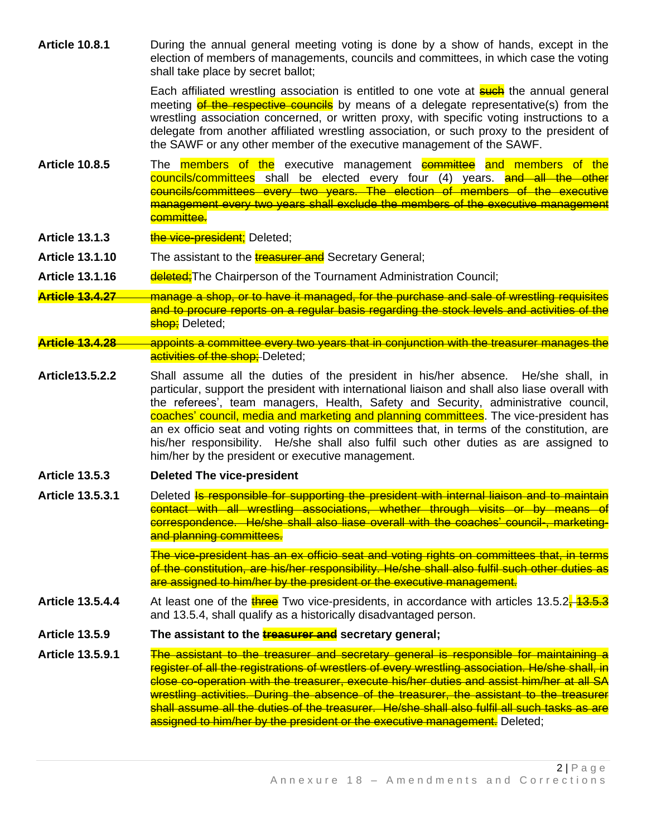**Article 10.8.1** During the annual general meeting voting is done by a show of hands, except in the election of members of managements, councils and committees, in which case the voting shall take place by secret ballot;

> Each affiliated wrestling association is entitled to one vote at **such** the annual general meeting of the respective councils by means of a delegate representative(s) from the wrestling association concerned, or written proxy, with specific voting instructions to a delegate from another affiliated wrestling association, or such proxy to the president of the SAWF or any other member of the executive management of the SAWF.

- **Article 10.8.5** The members of the executive management committee and members of the councils/committees shall be elected every four (4) years. and all the other councils/committees every two years. The election of members of the executive management every two years shall exclude the members of the executive management committee.
- Article 13.1.3 the vice-president; Deleted;
- **Article 13.1.10** The assistant to the **treasurer and** Secretary General;
- **Article 13.1.16** deleted; The Chairperson of the Tournament Administration Council;
- **Article 13.4.27** manage a shop, or to have it managed, for the purchase and sale of wrestling requisites and to procure reports on a regular basis regarding the stock levels and activities of the shop: Deleted:
- **Article 13.4.28** appoints a committee every two years that in conjunction with the treasurer manages the activities of the shop: Deleted:
- **Article13.5.2.2** Shall assume all the duties of the president in his/her absence. He/she shall, in particular, support the president with international liaison and shall also liase overall with the referees', team managers, Health, Safety and Security, administrative council, coaches' council, media and marketing and planning committees. The vice-president has an ex officio seat and voting rights on committees that, in terms of the constitution, are his/her responsibility. He/she shall also fulfil such other duties as are assigned to him/her by the president or executive management.
- **Article 13.5.3 Deleted The vice-president**
- Article 13.5.3.1 Deleted **Is responsible for supporting the president with internal liaison and to maintain** contact with all wrestling associations, whether through visits or by means of correspondence. He/she shall also liase overall with the coaches' council-, marketingand planning committees.

The vice-president has an ex officio seat and voting rights on committees that, in terms of the constitution, are his/her responsibility. He/she shall also fulfil such other duties as are assigned to him/her by the president or the executive management.

- **Article 13.5.4.4** At least one of the **three** Two vice-presidents, in accordance with articles 13.5.2, 13.5.3 and 13.5.4, shall qualify as a historically disadvantaged person.
- **Article 13.5.9 The assistant to the treasurer and secretary general;**
- **Article 13.5.9.1** The assistant to the treasurer and secretary general is responsible for maintaining a register of all the registrations of wrestlers of every wrestling association. He/she shall, in close co-operation with the treasurer, execute his/her duties and assist him/her at all SA wrestling activities. During the absence of the treasurer, the assistant to the treasurer shall assume all the duties of the treasurer. He/she shall also fulfil all such tasks as are assigned to him/her by the president or the executive management. Deleted: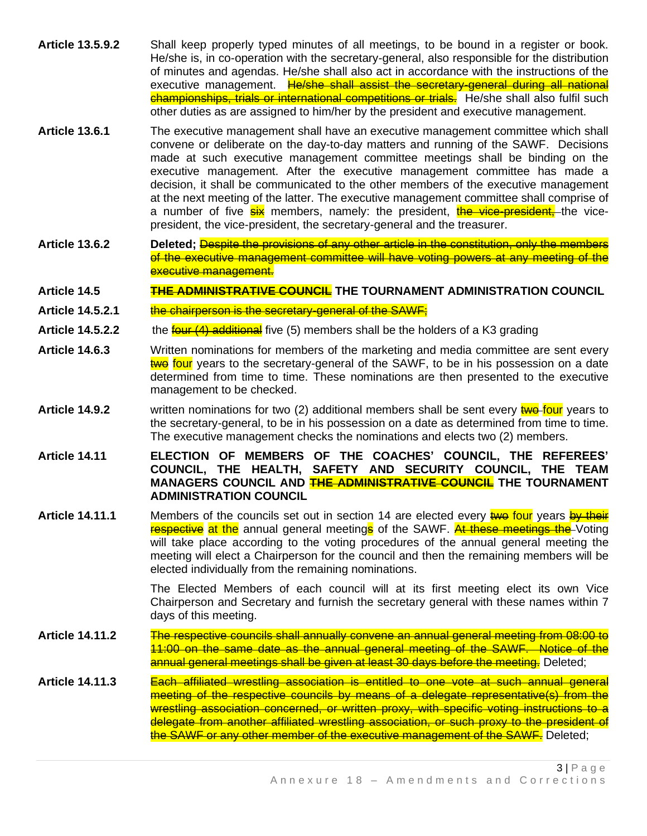- **Article 13.5.9.2** Shall keep properly typed minutes of all meetings, to be bound in a register or book. He/she is, in co-operation with the secretary-general, also responsible for the distribution of minutes and agendas. He/she shall also act in accordance with the instructions of the executive management. He/she shall assist the secretary-general during all national championships, trials or international competitions or trials. He/she shall also fulfil such other duties as are assigned to him/her by the president and executive management.
- **Article 13.6.1** The executive management shall have an executive management committee which shall convene or deliberate on the day-to-day matters and running of the SAWF. Decisions made at such executive management committee meetings shall be binding on the executive management. After the executive management committee has made a decision, it shall be communicated to the other members of the executive management at the next meeting of the latter. The executive management committee shall comprise of a number of five six members, namely: the president, the vice-president, the vicepresident, the vice-president, the secretary-general and the treasurer.
- **Article 13.6.2 Deleted;** Despite the provisions of any other article in the constitution, only the members of the executive management committee will have voting powers at any meeting of the executive management.

## **Article 14.5 THE ADMINISTRATIVE COUNCIL THE TOURNAMENT ADMINISTRATION COUNCIL**

- Article 14.5.2.1 the chairperson is the secretary-general of the SAWF:
- Article 14.5.2.2 the **four (4) additional** five (5) members shall be the holders of a K3 grading
- **Article 14.6.3** Written nominations for members of the marketing and media committee are sent every twe four years to the secretary-general of the SAWF, to be in his possession on a date determined from time to time. These nominations are then presented to the executive management to be checked.
- **Article 14.9.2** written nominations for two (2) additional members shall be sent every two four years to the secretary-general, to be in his possession on a date as determined from time to time. The executive management checks the nominations and elects two (2) members.
- **Article 14.11 ELECTION OF MEMBERS OF THE COACHES' COUNCIL, THE REFEREES' COUNCIL, THE HEALTH, SAFETY AND SECURITY COUNCIL, THE TEAM MANAGERS COUNCIL AND THE ADMINISTRATIVE COUNCIL THE TOURNAMENT ADMINISTRATION COUNCIL**
- Article 14.11.1 Members of the councils set out in section 14 are elected every two four years by their respective at the annual general meetings of the SAWF. At these meetings the Voting will take place according to the voting procedures of the annual general meeting the meeting will elect a Chairperson for the council and then the remaining members will be elected individually from the remaining nominations.

The Elected Members of each council will at its first meeting elect its own Vice Chairperson and Secretary and furnish the secretary general with these names within 7 days of this meeting.

- **Article 14.11.2** The respective councils shall annually convene an annual general meeting from 08:00 to 11:00 on the same date as the annual general meeting of the SAWF. Notice of the annual general meetings shall be given at least 30 days before the meeting. Deleted;
- **Article 14.11.3** Each affiliated wrestling association is entitled to one vote at such annual general meeting of the respective councils by means of a delegate representative(s) from the wrestling association concerned, or written proxy, with specific voting instructions to a delegate from another affiliated wrestling association, or such proxy to the president of the SAWF or any other member of the executive management of the SAWF. Deleted;